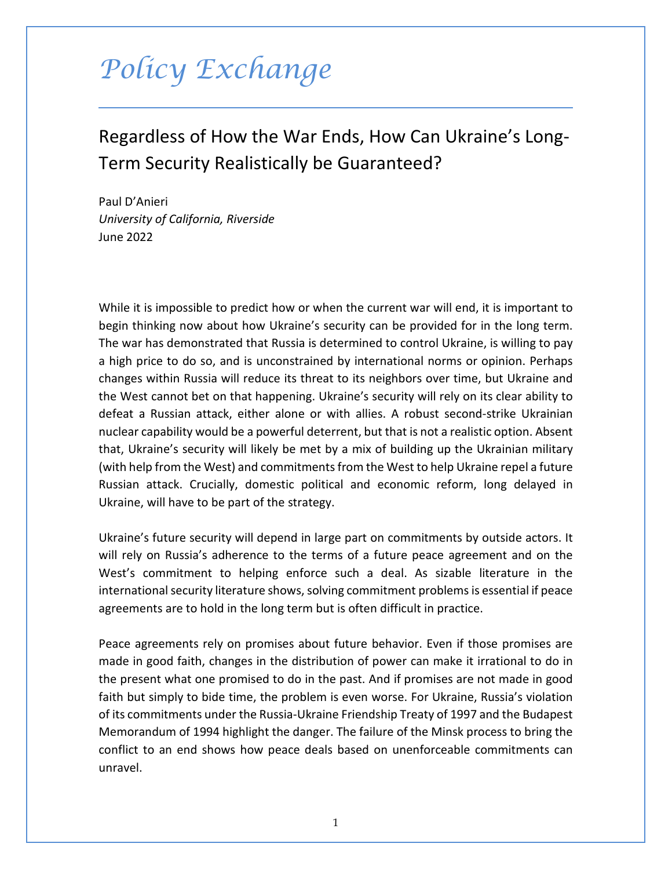## *Policy Exchange*

## Regardless of How the War Ends, How Can Ukraine's Long-Term Security Realistically be Guaranteed?

Paul D'Anieri *University of California, Riverside* June 2022

While it is impossible to predict how or when the current war will end, it is important to begin thinking now about how Ukraine's security can be provided for in the long term. The war has demonstrated that Russia is determined to control Ukraine, is willing to pay a high price to do so, and is unconstrained by international norms or opinion. Perhaps changes within Russia will reduce its threat to its neighbors over time, but Ukraine and the West cannot bet on that happening. Ukraine's security will rely on its clear ability to defeat a Russian attack, either alone or with allies. A robust second-strike Ukrainian nuclear capability would be a powerful deterrent, but that is not a realistic option. Absent that, Ukraine's security will likely be met by a mix of building up the Ukrainian military (with help from the West) and commitments from the West to help Ukraine repel a future Russian attack. Crucially, domestic political and economic reform, long delayed in Ukraine, will have to be part of the strategy.

Ukraine's future security will depend in large part on commitments by outside actors. It will rely on Russia's adherence to the terms of a future peace agreement and on the West's commitment to helping enforce such a deal. As sizable literature in the international security literature shows, solving commitment problems is essential if peace agreements are to hold in the long term but is often difficult in practice.

Peace agreements rely on promises about future behavior. Even if those promises are made in good faith, changes in the distribution of power can make it irrational to do in the present what one promised to do in the past. And if promises are not made in good faith but simply to bide time, the problem is even worse. For Ukraine, Russia's violation of its commitments under the Russia-Ukraine Friendship Treaty of 1997 and the Budapest Memorandum of 1994 highlight the danger. The failure of the Minsk process to bring the conflict to an end shows how peace deals based on unenforceable commitments can unravel.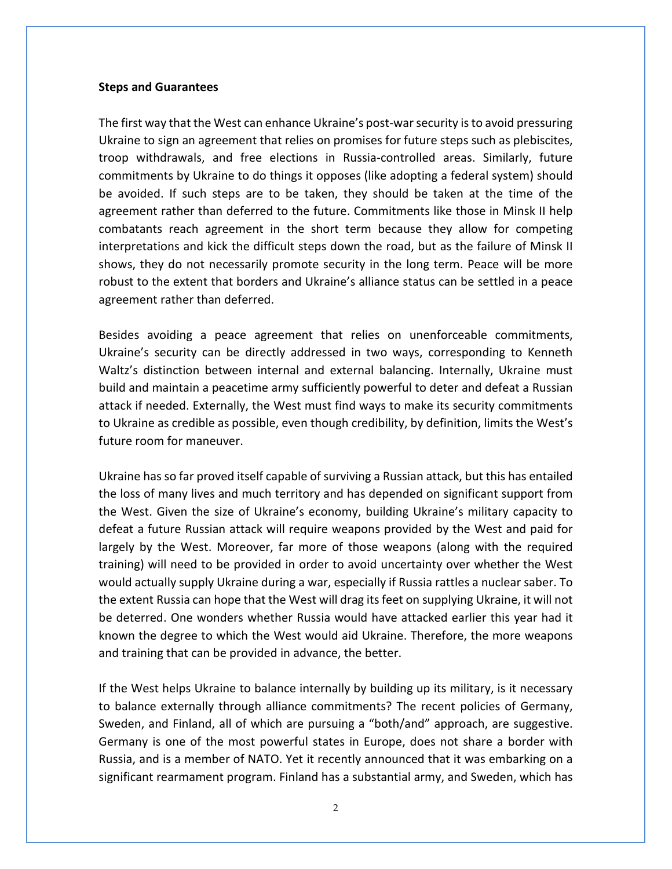## **Steps and Guarantees**

The first way that the West can enhance Ukraine's post-war security is to avoid pressuring Ukraine to sign an agreement that relies on promises for future steps such as plebiscites, troop withdrawals, and free elections in Russia-controlled areas. Similarly, future commitments by Ukraine to do things it opposes (like adopting a federal system) should be avoided. If such steps are to be taken, they should be taken at the time of the agreement rather than deferred to the future. Commitments like those in Minsk II help combatants reach agreement in the short term because they allow for competing interpretations and kick the difficult steps down the road, but as the failure of Minsk II shows, they do not necessarily promote security in the long term. Peace will be more robust to the extent that borders and Ukraine's alliance status can be settled in a peace agreement rather than deferred.

Besides avoiding a peace agreement that relies on unenforceable commitments, Ukraine's security can be directly addressed in two ways, corresponding to Kenneth Waltz's distinction between internal and external balancing. Internally, Ukraine must build and maintain a peacetime army sufficiently powerful to deter and defeat a Russian attack if needed. Externally, the West must find ways to make its security commitments to Ukraine as credible as possible, even though credibility, by definition, limits the West's future room for maneuver.

Ukraine has so far proved itself capable of surviving a Russian attack, but this has entailed the loss of many lives and much territory and has depended on significant support from the West. Given the size of Ukraine's economy, building Ukraine's military capacity to defeat a future Russian attack will require weapons provided by the West and paid for largely by the West. Moreover, far more of those weapons (along with the required training) will need to be provided in order to avoid uncertainty over whether the West would actually supply Ukraine during a war, especially if Russia rattles a nuclear saber. To the extent Russia can hope that the West will drag its feet on supplying Ukraine, it will not be deterred. One wonders whether Russia would have attacked earlier this year had it known the degree to which the West would aid Ukraine. Therefore, the more weapons and training that can be provided in advance, the better.

If the West helps Ukraine to balance internally by building up its military, is it necessary to balance externally through alliance commitments? The recent policies of Germany, Sweden, and Finland, all of which are pursuing a "both/and" approach, are suggestive. Germany is one of the most powerful states in Europe, does not share a border with Russia, and is a member of NATO. Yet it recently announced that it was embarking on a significant rearmament program. Finland has a substantial army, and Sweden, which has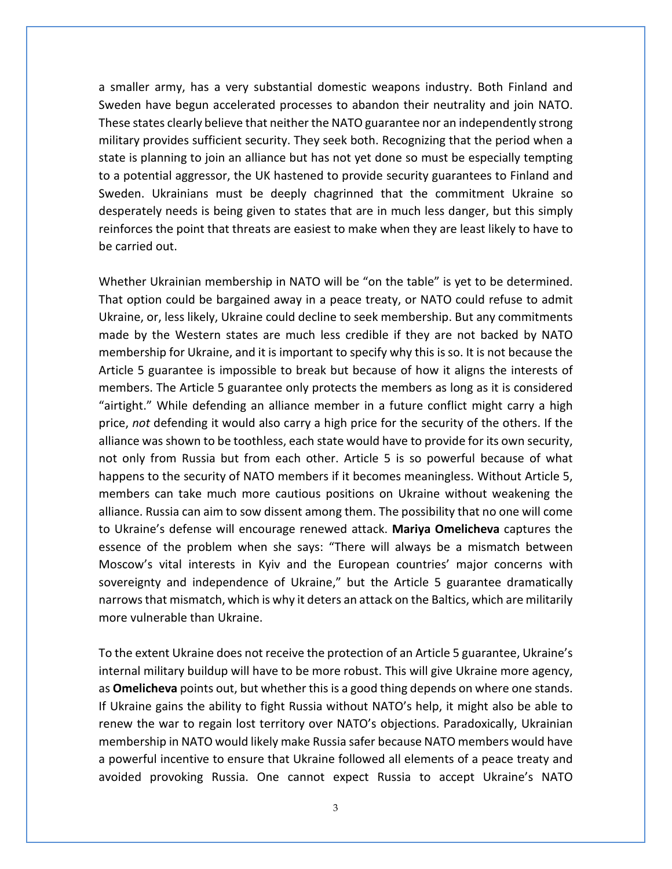a smaller army, has a very substantial domestic weapons industry. Both Finland and Sweden have begun accelerated processes to abandon their neutrality and join NATO. These states clearly believe that neither the NATO guarantee nor an independently strong military provides sufficient security. They seek both. Recognizing that the period when a state is planning to join an alliance but has not yet done so must be especially tempting to a potential aggressor, the UK hastened to provide security guarantees to Finland and Sweden. Ukrainians must be deeply chagrinned that the commitment Ukraine so desperately needs is being given to states that are in much less danger, but this simply reinforces the point that threats are easiest to make when they are least likely to have to be carried out.

Whether Ukrainian membership in NATO will be "on the table" is yet to be determined. That option could be bargained away in a peace treaty, or NATO could refuse to admit Ukraine, or, less likely, Ukraine could decline to seek membership. But any commitments made by the Western states are much less credible if they are not backed by NATO membership for Ukraine, and it is important to specify why this is so. It is not because the Article 5 guarantee is impossible to break but because of how it aligns the interests of members. The Article 5 guarantee only protects the members as long as it is considered "airtight." While defending an alliance member in a future conflict might carry a high price, *not* defending it would also carry a high price for the security of the others. If the alliance was shown to be toothless, each state would have to provide for its own security, not only from Russia but from each other. Article 5 is so powerful because of what happens to the security of NATO members if it becomes meaningless. Without Article 5, members can take much more cautious positions on Ukraine without weakening the alliance. Russia can aim to sow dissent among them. The possibility that no one will come to Ukraine's defense will encourage renewed attack. **Mariya Omelicheva** captures the essence of the problem when she says: "There will always be a mismatch between Moscow's vital interests in Kyiv and the European countries' major concerns with sovereignty and independence of Ukraine," but the Article 5 guarantee dramatically narrows that mismatch, which is why it deters an attack on the Baltics, which are militarily more vulnerable than Ukraine.

To the extent Ukraine does not receive the protection of an Article 5 guarantee, Ukraine's internal military buildup will have to be more robust. This will give Ukraine more agency, as **Omelicheva** points out, but whether this is a good thing depends on where one stands. If Ukraine gains the ability to fight Russia without NATO's help, it might also be able to renew the war to regain lost territory over NATO's objections. Paradoxically, Ukrainian membership in NATO would likely make Russia safer because NATO members would have a powerful incentive to ensure that Ukraine followed all elements of a peace treaty and avoided provoking Russia. One cannot expect Russia to accept Ukraine's NATO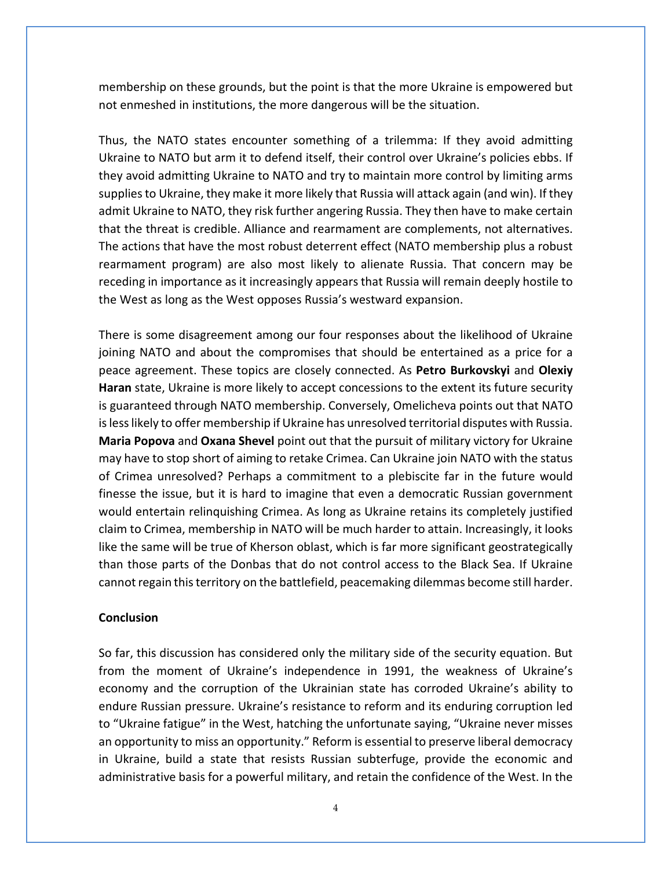membership on these grounds, but the point is that the more Ukraine is empowered but not enmeshed in institutions, the more dangerous will be the situation.

Thus, the NATO states encounter something of a trilemma: If they avoid admitting Ukraine to NATO but arm it to defend itself, their control over Ukraine's policies ebbs. If they avoid admitting Ukraine to NATO and try to maintain more control by limiting arms supplies to Ukraine, they make it more likely that Russia will attack again (and win). If they admit Ukraine to NATO, they risk further angering Russia. They then have to make certain that the threat is credible. Alliance and rearmament are complements, not alternatives. The actions that have the most robust deterrent effect (NATO membership plus a robust rearmament program) are also most likely to alienate Russia. That concern may be receding in importance as it increasingly appears that Russia will remain deeply hostile to the West as long as the West opposes Russia's westward expansion.

There is some disagreement among our four responses about the likelihood of Ukraine joining NATO and about the compromises that should be entertained as a price for a peace agreement. These topics are closely connected. As **Petro Burkovskyi** and **Olexiy Haran** state, Ukraine is more likely to accept concessions to the extent its future security is guaranteed through NATO membership. Conversely, Omelicheva points out that NATO is less likely to offer membership if Ukraine has unresolved territorial disputes with Russia. **Maria Popova** and **Oxana Shevel** point out that the pursuit of military victory for Ukraine may have to stop short of aiming to retake Crimea. Can Ukraine join NATO with the status of Crimea unresolved? Perhaps a commitment to a plebiscite far in the future would finesse the issue, but it is hard to imagine that even a democratic Russian government would entertain relinquishing Crimea. As long as Ukraine retains its completely justified claim to Crimea, membership in NATO will be much harder to attain. Increasingly, it looks like the same will be true of Kherson oblast, which is far more significant geostrategically than those parts of the Donbas that do not control access to the Black Sea. If Ukraine cannot regain this territory on the battlefield, peacemaking dilemmas become still harder.

## **Conclusion**

So far, this discussion has considered only the military side of the security equation. But from the moment of Ukraine's independence in 1991, the weakness of Ukraine's economy and the corruption of the Ukrainian state has corroded Ukraine's ability to endure Russian pressure. Ukraine's resistance to reform and its enduring corruption led to "Ukraine fatigue" in the West, hatching the unfortunate saying, "Ukraine never misses an opportunity to miss an opportunity." Reform is essential to preserve liberal democracy in Ukraine, build a state that resists Russian subterfuge, provide the economic and administrative basis for a powerful military, and retain the confidence of the West. In the